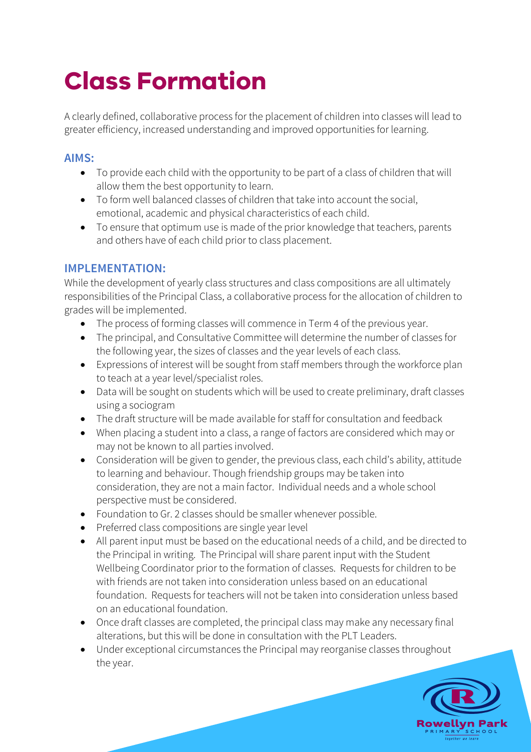## **Class Formation**

A clearly defined, collaborative process for the placement of children into classes will lead to greater efficiency, increased understanding and improved opportunities for learning.

## **AIMS:**

- To provide each child with the opportunity to be part of a class of children that will allow them the best opportunity to learn.
- To form well balanced classes of children that take into account the social, emotional, academic and physical characteristics of each child.
- To ensure that optimum use is made of the prior knowledge that teachers, parents and others have of each child prior to class placement.

## **IMPLEMENTATION:**

While the development of yearly class structures and class compositions are all ultimately responsibilities of the Principal Class, a collaborative process for the allocation of children to grades will be implemented.

- The process of forming classes will commence in Term 4 of the previous year.
- The principal, and Consultative Committee will determine the number of classes for the following year, the sizes of classes and the year levels of each class.
- Expressions of interest will be sought from staff members through the workforce plan to teach at a year level/specialist roles.
- Data will be sought on students which will be used to create preliminary, draft classes using a sociogram
- The draft structure will be made available for staff for consultation and feedback
- When placing a student into a class, a range of factors are considered which may or may not be known to all parties involved.
- Consideration will be given to gender, the previous class, each child's ability, attitude to learning and behaviour. Though friendship groups may be taken into consideration, they are not a main factor. Individual needs and a whole school perspective must be considered.
- Foundation to Gr. 2 classes should be smaller whenever possible.
- Preferred class compositions are single year level
- All parent input must be based on the educational needs of a child, and be directed to the Principal in writing. The Principal will share parent input with the Student Wellbeing Coordinator prior to the formation of classes. Requests for children to be with friends are not taken into consideration unless based on an educational foundation. Requests for teachers will not be taken into consideration unless based on an educational foundation.
- Once draft classes are completed, the principal class may make any necessary final alterations, but this will be done in consultation with the PLT Leaders.
- Under exceptional circumstances the Principal may reorganise classes throughout the year.